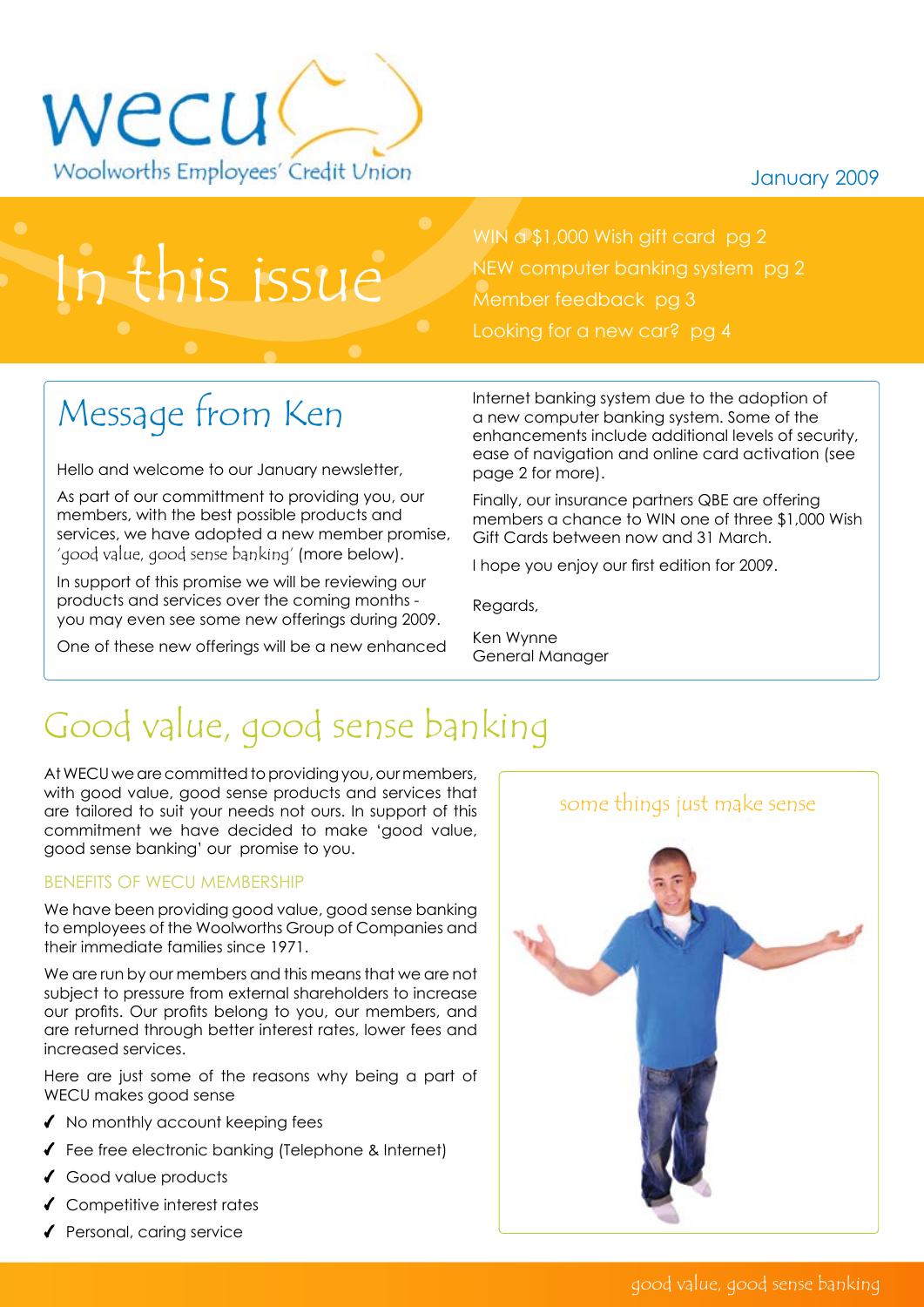#### January 2009



In this issue

WIN a \$1,000 Wish gift card pg 2 NEW computer banking system pg 2 Member feedback pg 3 Looking for a new car? pg 4

# Message from Ken

Hello and welcome to our January newsletter,

As part of our committment to providing you, our members, with the best possible products and services, we have adopted a new member promise, 'good value, good sense banking' (more below).

In support of this promise we will be reviewing our products and services over the coming months you may even see some new offerings during 2009.

One of these new offerings will be a new enhanced

Internet banking system due to the adoption of a new computer banking system. Some of the enhancements include additional levels of security, ease of navigation and online card activation (see page 2 for more).

Finally, our insurance partners QBE are offering members a chance to WIN one of three \$1,000 Wish Gift Cards between now and 31 March.

I hope you enjoy our first edition for 2009.

Regards,

Ken Wynne General Manager

## Good value, good sense banking

At WECU we are committed to providing you, our members, with good value, good sense products and services that are tailored to suit your needs not ours. In support of this commitment we have decided to make 'good value, good sense banking' our promise to you.

#### Benefits of WECU membership

We have been providing good value, good sense banking to employees of the Woolworths Group of Companies and their immediate families since 1971.

We are run by our members and this means that we are not subject to pressure from external shareholders to increase our profits. Our profits belong to you, our members, and are returned through better interest rates, lower fees and increased services.

Here are just some of the reasons why being a part of WECU makes good sense

- $\triangleleft$  No monthly account keeping fees
- Fee free electronic banking (Telephone & Internet)
- ◆ Good value products
- Competitive interest rates
- $\blacklozenge$  Personal, caring service

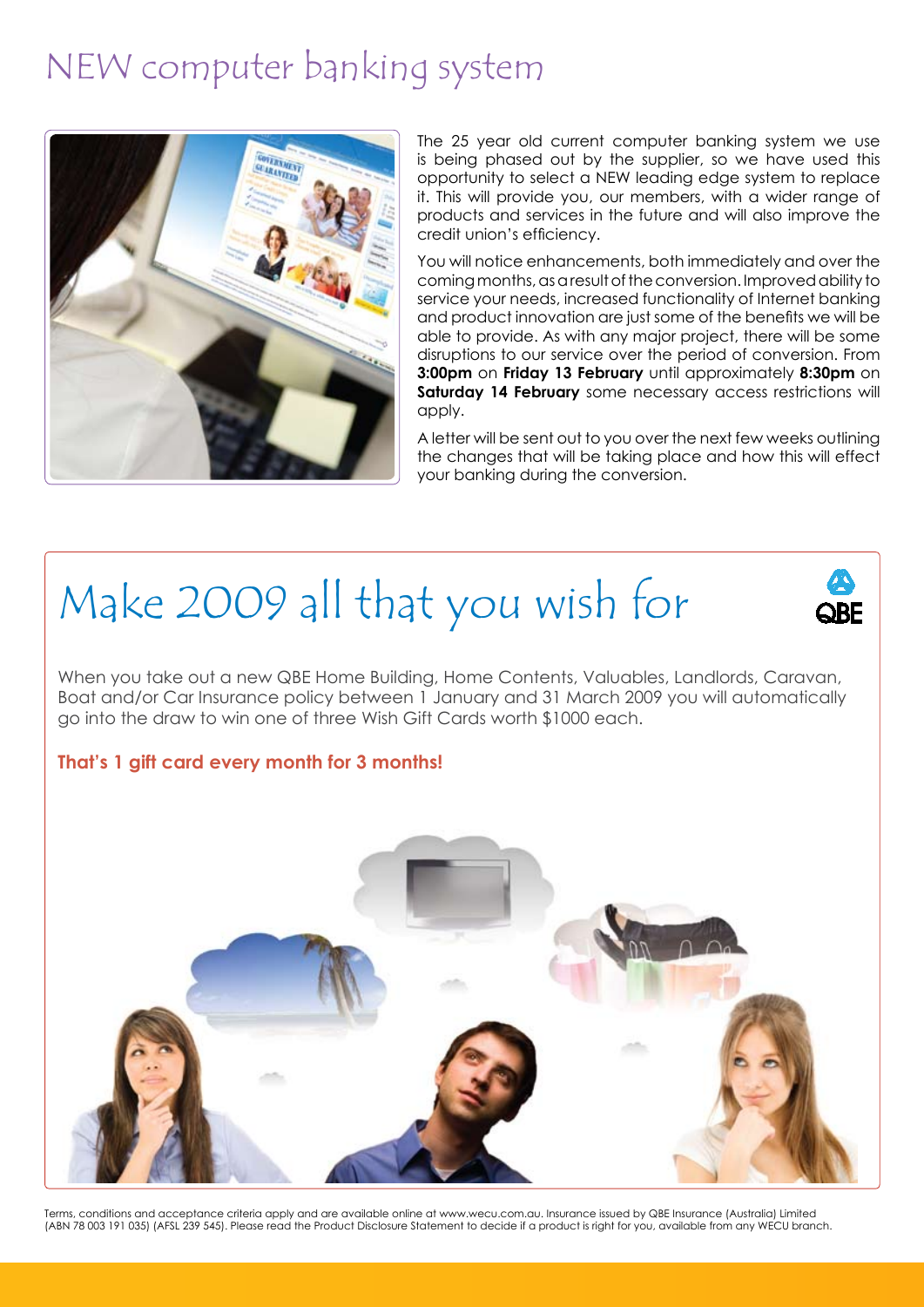### NEW computer banking system



The 25 year old current computer banking system we use is being phased out by the supplier, so we have used this opportunity to select a NEW leading edge system to replace it. This will provide you, our members, with a wider range of products and services in the future and will also improve the credit union's efficiency.

You will notice enhancements, both immediately and over the coming months, as a result of the conversion. Improved ability to service your needs, increased functionality of Internet banking and product innovation are just some of the benefits we will be able to provide. As with any major project, there will be some disruptions to our service over the period of conversion. From **3:00pm** on **Friday 13 February** until approximately **8:30pm** on **Saturday 14 February** some necessary access restrictions will apply.

A letter will be sent out to you over the next few weeks outlining the changes that will be taking place and how this will effect your banking during the conversion.



When you take out a new QBE Home Building, Home Contents, Valuables, Landlords, Caravan, Boat and/or Car Insurance policy between 1 January and 31 March 2009 you will automatically go into the draw to win one of three Wish Gift Cards worth \$1000 each.

#### **That's 1 gift card every month for 3 months!**



Terms, conditions and acceptance criteria apply and are available online at www.wecu.com.au. Insurance issued by QBE Insurance (Australia) Limited (ABN 78 003 191 035) (AFSL 239 545). Please read the Product Disclosure Statement to decide if a product is right for you, available from any WECU branch.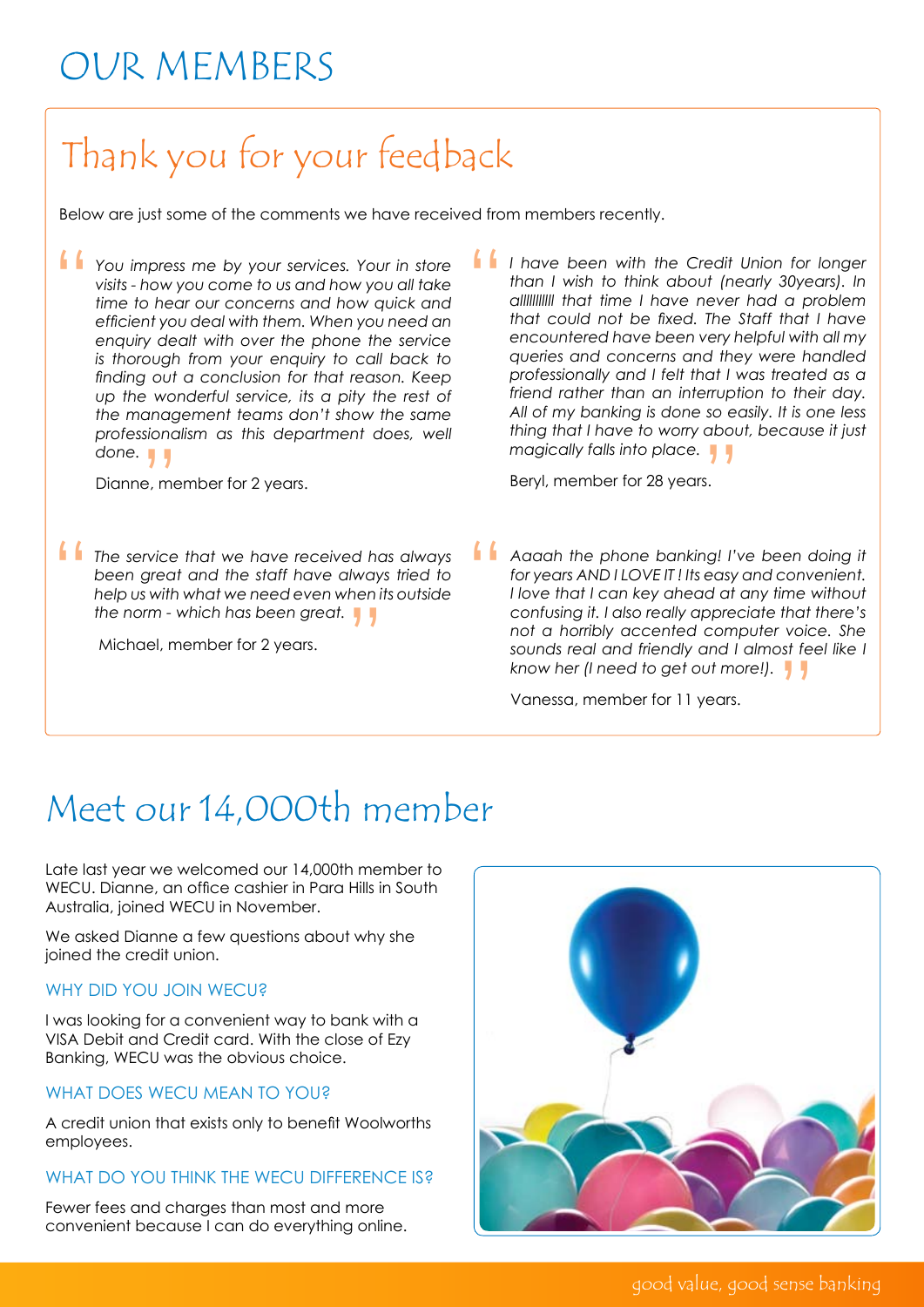## Our members

# Thank you for your feedback

Below are just some of the comments we have received from members recently.

You impress me by your services. Your in store<br>visits - how you come to us and how you all take<br>time to hear our concerns and how quick and *visits - how you come to us and how you all take time to hear our concerns and how quick and efficient you deal with them. When you need an enquiry dealt with over the phone the service is thorough from your enquiry to call back to finding out a conclusion for that reason. Keep up the wonderful service, its a pity the rest of the management teams don't show the same professionalism as this department does, well done.* 

 $\frac{1}{2}$  , me Dianne, member for 2 years.

*The service that we have received has always been great and the staff have always tried to help us with what we need even when its outside been great and the staff have always tried to help us with what we need even when its outside*  the norm - which has been great.<br>Michael, member for 2 years.

Michael, member for 2 years.

*I have been with the Credit Union for longer than I wish to think about (nearly 30years). In alllllllllll that time I have never had a problem that could not be fixed. The Staff that I have encountered have been very helpful with all my queries and concerns and they were handled professionally and I felt that I was treated as a friend rather than an interruption to their day. All of my banking is done so easily. It is one less thing that I have to worry about, because it just*  magically falls into place.<br>Beryl, member for 28 years. "

Beryl, member for 28 years.

*Aaaah the phone banking! I've been doing it for years AND I LOVE IT ! Its easy and convenient. I love that I can key ahead at any time without confusing it. I also really appreciate that there's not a horribly accented computer voice. She sounds real and friendly and I almost feel like I know her (I need to get out more!).*  " "

Vanessa, member for 11 years.

### Meet our 14,000th member

Late last year we welcomed our 14,000th member to WECU. Dianne, an office cashier in Para Hills in South Australia, joined WECU in November.

We asked Dianne a few auestions about why she joined the credit union.

#### WHY DID YOU JOIN WECU?

I was looking for a convenient way to bank with a VISA Debit and Credit card. With the close of Ezy Banking, WECU was the obvious choice.

#### WHAT DOES WECU MEAN TO YOU?

A credit union that exists only to benefit Woolworths employees.

#### WHAT DO YOU THINK THE WECU DIFFERENCE IS?

Fewer fees and charges than most and more convenient because I can do everything online.



good value, good sense banking